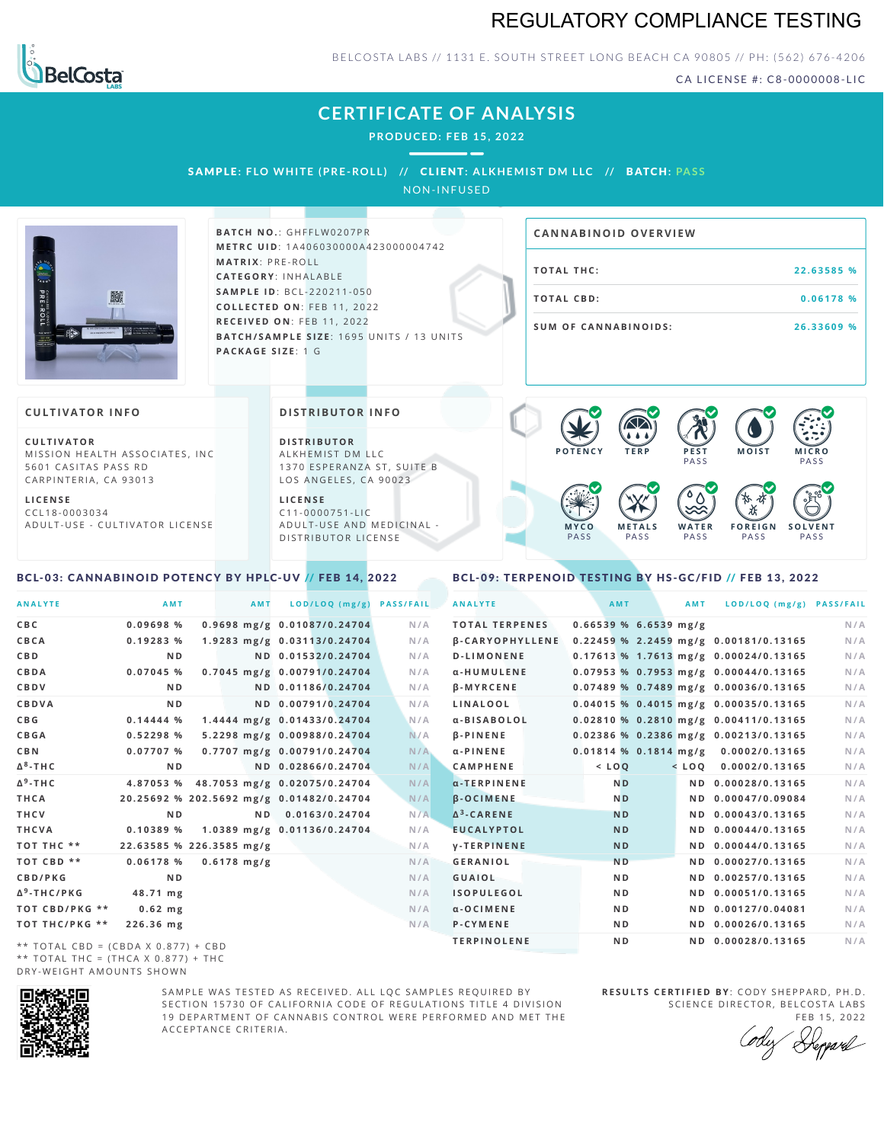## REGULATORY COMPLIANCE TESTING



BELCOSTA LABS // 1131 E. SOUTH STREET LONG BEACH CA 90805 // PH: (562) 676-4206

CA LICENSE #: C8-0000008-LIC

**M O IS T M IC R O PASS** 

**S O L V E N T** PA S S

# **CERTIFICATE OF ANALYSIS**

**PRODUCED: F EB 15, 2022**

SAMPLE: FLO WHITE (PRE-ROLL) // CLIENT: ALKHEMIST DM LLC // BATCH: PASS

NON-INFUSED



**BATCH NO.: GHFFLW0207PR M E T R C U ID** :1 A 4 0 6 0 3 0 0 0 0 A 4 2 3 0 0 0 0 0 4 7 4 2 **M AT R I X** :P R E - R O L L **CAT E G O R Y** : I N H A L A B L E **SA M P L E I D** :B C L - 2 2 0 2 1 1 - 0 5 0 **C O L L E C T E D O N** :F E B 1 1 , 2 0 2 2 **R E C E I V E D O N** : F E B 1 1 , 2 0 2 2 **BATCH/SAMPLE SIZE:** 1695 UNITS / 13 UNITS **PAC KA G E S I Z E** : 1 G

# **T O TAL T H C :2 2 . 6 3 5 8 5 % T O TAL CB D :0 . 0 6 1 7 8 % S U M O F CA N N ABI N O I D S : 2 6 . 3 3 6 0 9 % CA N N ABI N OID OVERVI EW**

PA S S

 $\bullet$  60 60 60 60

 $\bullet$  0.0 0.0 0.0

**W A T E R** PA S S

**F O R E I G N** PA S S

祇

#### **CULTIVATOR I N FO**

**C U L T I VAT O R** MISSION HEALTH ASSOCIATES, INC. 5601 CASITAS PASS RD CARPINTERIA, CA 93013

**L I C E N S E** C C L 1 8 - 0 0 0 3 0 3 4 A D U L T - U S E - C U L T I V A T O R L I C E N S E

#### **DI STRIBUTOR I N FO**

**D I S T R IB U T O R** ALKHEMIST DM LLC 1370 ESPERANZA ST, SUITE B LOS ANGELES, CA 90023

**L I C E N S E** C 1 1 - 0 0 0 0 7 5 1 - L I C A D U L T - U S E A N D M E D I C I N A L -D ISTRIBUTOR LICENSE

### <span id="page-0-0"></span>BCL-03: CANNABINOID POTENCY BY HPLC-UV // FEB 14, 2022

#### <span id="page-0-1"></span>BCL-09: TERPENOID TESTING BY HS-GC/FID // FEB 13, 2022

**M E T A L S** PA S S

**M Y C O** PA S S

**P O T E N C Y T E R P P E S T**

| <b>ANALYTE</b>                      | AMT                                      |               | <b>AMT</b> | LOD/LOQ (mg/g)               | <b>PASS/FAIL</b> | <b>ANALYTE</b>         |                         | AMT            | <b>AMT</b> | LOD/LOQ (mg/g) PASS/FAIL                |     |
|-------------------------------------|------------------------------------------|---------------|------------|------------------------------|------------------|------------------------|-------------------------|----------------|------------|-----------------------------------------|-----|
| C B C                               | 0.09698%                                 |               |            | 0.9698 mg/g 0.01087/0.24704  | N/A              | <b>TOTAL TERPENES</b>  | $0.66539$ % 6.6539 mg/g |                |            |                                         | N/A |
| CBCA                                | 0.19283 %                                |               |            | 1.9283 mg/g 0.03113/0.24704  | N/A              | <b>B-CARYOPHYLLENE</b> |                         |                |            | 0.22459 % 2.2459 mg/g 0.00181/0.13165   | N/A |
| C B D                               | N <sub>D</sub>                           |               |            | ND 0.01532/0.24704           | N/A              | <b>D-LIMONENE</b>      |                         |                |            | 0.17613 % 1.7613 mg/g 0.00024/0.13165   | N/A |
| CBDA                                | $0.07045$ %                              |               |            | 0.7045 mg/g 0.00791/0.24704  | N/A              | α-HUMULENE             |                         |                |            | $0.07953$ % 0.7953 mg/g 0.00044/0.13165 | N/A |
| <b>CBDV</b>                         | ND.                                      |               |            | ND 0.01186/0.24704           | N/A              | <b>B-MYRCENE</b>       |                         |                |            | 0.07489 % 0.7489 mg/g 0.00036/0.13165   | N/A |
| CBDVA                               | N <sub>D</sub>                           |               |            | ND 0.00791/0.24704           | N/A              | LINALOOL               |                         |                |            | $0.04015$ % 0.4015 mg/g 0.00035/0.13165 | N/A |
| C B G                               | 0.14444%                                 |               |            | 1.4444 mg/g 0.01433/0.24704  | N/A              | a-BISABOLOL            |                         |                |            | 0.02810 % 0.2810 mg/g 0.00411/0.13165   | N/A |
| <b>CBGA</b>                         | 0.52298 %                                |               |            | 5.2298 mg/g 0.00988/0.24704  | N/A              | <b>B-PINENE</b>        |                         |                |            | 0.02386 % 0.2386 mg/g 0.00213/0.13165   | N/A |
| C B N                               | 0.07707%                                 |               |            | 0.7707 mg/g 0.00791/0.24704  | N/A              | $\alpha$ -PINENE       |                         |                |            | 0.01814 % 0.1814 mg/g 0.0002/0.13165    | N/A |
| Δ <sup>8</sup> -ΤΗ C                | N <sub>D</sub>                           |               |            | ND 0.02866/0.24704           | N/A              | <b>CAMPHENE</b>        |                         | $<$ $L O Q$    |            | $<$ LOQ 0.0002/0.13165                  | N/A |
| Δ <sup>9</sup> -ΤΗ C                | 4.87053 %                                |               |            | 48.7053 mg/g 0.02075/0.24704 | N/A              | $\alpha$ -TERPINENE    |                         | N <sub>D</sub> |            | ND 0.00028/0.13165                      | N/A |
| THCA                                | 20.25692 % 202.5692 mg/g 0.01482/0.24704 |               |            |                              | N/A              | <b>B-OCIMENE</b>       |                         | N <sub>D</sub> |            | ND 0.00047/0.09084                      | N/A |
| THCV                                | N <sub>D</sub>                           |               |            | ND 0.0163/0.24704            | N/A              | $\Delta^3$ -CARENE     |                         | <b>ND</b>      |            | ND 0.00043/0.13165                      | N/A |
| THCVA                               | 0.10389%                                 |               |            | 1.0389 mg/g 0.01136/0.24704  | N/A              | <b>EUCALYPTOL</b>      |                         | <b>ND</b>      |            | ND 0.00044/0.13165                      | N/A |
| тот тнс **                          | 22.63585 % 226.3585 mg/g                 |               |            |                              | N/A              | <b>V-TERPINENE</b>     |                         | <b>ND</b>      |            | ND 0.00044/0.13165                      | N/A |
| TOT CBD **                          | 0.06178%                                 | $0.6178$ mg/g |            |                              | N/A              | <b>GERANIOL</b>        |                         | <b>ND</b>      |            | ND 0.00027/0.13165                      | N/A |
| <b>CBD/PKG</b>                      | N <sub>D</sub>                           |               |            |                              | N/A              | <b>GUAIOL</b>          |                         | N <sub>D</sub> |            | ND 0.00257/0.13165                      | N/A |
| Δ <sup>9</sup> -THC/PKG             | 48.71 mg                                 |               |            |                              | N/A              | <b>ISOPULEGOL</b>      |                         | N <sub>D</sub> |            | ND 0.00051/0.13165                      | N/A |
| ТОТ СВD/РКG **                      | $0.62$ mg                                |               |            |                              | N/A              | $\alpha$ -OCIMENE      |                         | ND.            |            | ND 0.00127/0.04081                      | N/A |
| ТОТ ТНС/РКG **                      | 226.36 mg                                |               |            |                              | N/A              | P-CYMENE               |                         | N <sub>D</sub> |            | ND 0.00026/0.13165                      | N/A |
| ** TOTAL CRD - (CRDA V 0 977) + CRD |                                          |               |            |                              |                  | <b>TERPINOLENE</b>     |                         | N <sub>D</sub> |            | ND 0.00028/0.13165                      | N/A |

\*\* TOTAL CBD =  $(CBDA X 0.877) + CBD$ \*\* TOTAL THC =  $(THCA X 0.877) + THC$ DRY-WEIGHT AMOUNTS SHOWN



SAMPLE WAS TESTED AS RECEIVED. ALL LOC SAMPLES REQUIRED BY SECTION 15730 OF CALIFORNIA CODE OF REGULATIONS TITLE 4 DIVISION 19 DEPARTMENT OF CANNABIS CONTROL WERE PERFORMED AND MET THE A C C E P T A N C E C R I T E R I A .

**R E S U L T S C E R T I F I E D BY** : C O D Y S H E P P A R D ,P H .D . SCIENCE DIRECTOR, BELCOSTA LABS

FEB 15, 2022 Depard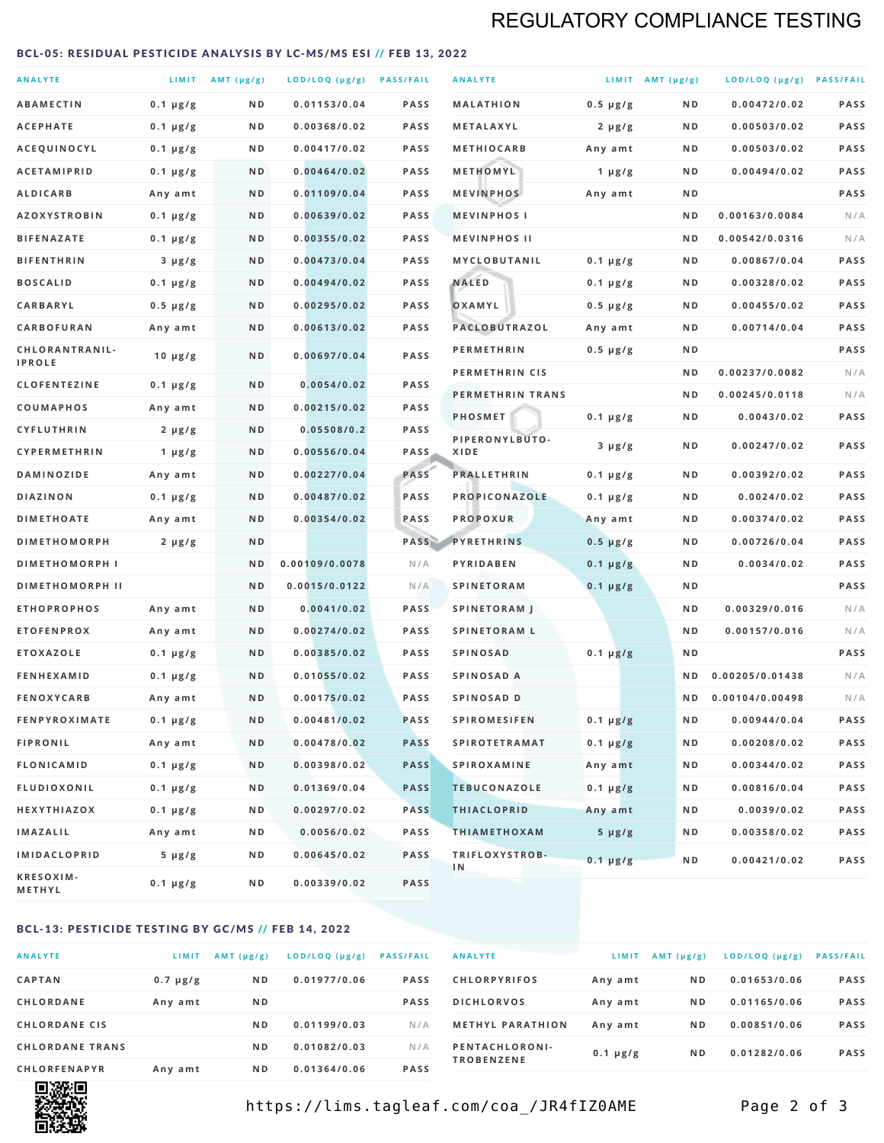# REGULATORY COMPLIANCE TESTING

#### <span id="page-1-0"></span>BCL-05: RESIDUAL PESTICIDE ANALYSIS BY LC-MS/MS ESI // FEB 13, 2022

| <b>ANALYTE</b>                          |                    | LIMIT AMT (µg/g) | LOD/LOQ (µg/g) PASS/FAIL    |                     | <b>ANALYTE</b>                             |                          | LIMIT AMT $(\mu g/g)$ | LOD/LOQ (µg/g) PASS/FAIL       |            |
|-----------------------------------------|--------------------|------------------|-----------------------------|---------------------|--------------------------------------------|--------------------------|-----------------------|--------------------------------|------------|
| <b>ABAMECTIN</b>                        | $0.1 \mu g/g$      | N D              | 0.01153/0.04                | <b>PASS</b>         | <b>MALATHION</b>                           | $0.5 \mu g/g$            | N D                   | 0.00472/0.02                   | PASS       |
| <b>ACEPHATE</b>                         | $0.1 \mu g/g$      | ND               | 0.00368/0.02                | <b>PASS</b>         | METALAXYL                                  | $2 \mu g/g$              | N D                   | 0.00503/0.02                   | PASS       |
| ACEQUINOCYL                             | $0.1 \mu g/g$      | N D              | 0.00417/0.02                | <b>PASS</b>         | <b>METHIOCARB</b>                          | Any amt                  | N D                   | 0.00503/0.02                   | PASS       |
| <b>ACETAMIPRID</b>                      | $0.1 \mu g/g$      | N D              | 0.00464/0.02                | <b>PASS</b>         | METHOMYL                                   | $1 \mu g/g$              | N D                   | 0.00494/0.02                   | PASS       |
| <b>ALDICARB</b>                         | Any amt            | N D              | 0.01109/0.04                | <b>PASS</b>         | <b>MEVINPHOS</b>                           | Any amt                  | N D                   |                                | PASS       |
| <b>AZOXYSTROBIN</b>                     | $0.1 \mu g/g$      | N D              | 0.00639/0.02                | <b>PASS</b>         | <b>MEVINPHOSI</b>                          |                          | N D                   | 0.00163/0.0084                 | N/A        |
| <b>BIFENAZATE</b>                       | $0.1 \mu g/g$      | N D              | 0.00355/0.02                | <b>PASS</b>         | <b>MEVINPHOS II</b>                        |                          | ND.                   | 0.00542/0.0316                 | N/A        |
| <b>BIFENTHRIN</b>                       | $3 \mu g/g$        | N D              | 0.00473/0.04                | <b>PASS</b>         | <b>MYCLOBUTANIL</b>                        | $0.1 \mu g/g$            | N D                   | 0.00867/0.04                   | PASS       |
| <b>BOSCALID</b>                         | $0.1 \mu g/g$      | N D              | 0.00494/0.02                | <b>PASS</b>         | <b>NALED</b>                               | $0.1 \mu g/g$            | N D                   | 0.00328/0.02                   | PASS       |
| CARBARYL                                | $0.5 \mu g/g$      | N D              | 0.00295/0.02                | <b>PASS</b>         | OXAMYL                                     | $0.5 \mu g/g$            | N D                   | 0.00455/0.02                   | PASS       |
| CARBOFURAN                              | Any amt            | N D              | 0.00613/0.02                | <b>PASS</b>         | PACLOBUTRAZOL                              | Any amt                  | N D                   | 0.00714/0.04                   | PASS       |
| CHLORANTRANIL-<br><b>IPROLE</b>         | $10 \mu g/g$       | N D              | 0.00697/0.04                | PASS                | <b>PERMETHRIN</b>                          | $0.5 \mu g/g$            | N D                   |                                | PASS       |
| <b>CLOFENTEZINE</b>                     |                    | N D              | 0.0054/0.02                 | <b>PASS</b>         | PERMETHRIN CIS                             |                          | N D                   | 0.00237/0.0082                 | N/A        |
|                                         | $0.1 \mu g/g$      | N D              | 0.00215/0.02                | <b>PASS</b>         | PERMETHRIN TRANS                           |                          | N D                   | 0.00245/0.0118                 | N/A        |
| <b>COUMAPHOS</b><br><b>CYFLUTHRIN</b>   | Any amt            | N D              | 0.05508/0.2                 | <b>PASS</b>         | <b>PHOSMET</b>                             | $0.1 \mu g/g$            | N D                   | 0.0043/0.02                    | PASS       |
| CYPERMETHRIN                            | $2 \mu g/g$        | N D              | 0.00556/0.04                | <b>PASS</b>         | PIPERONYLBUTO-<br>XIDE                     | $3 \mu g/g$              | N D                   | 0.00247/0.02                   | PASS       |
| <b>DAMINOZIDE</b>                       | 1 $\mu$ g/g        | N D              | 0.00227/0.04                | PASS                | <b>PRALLETHRIN</b>                         | $0.1 \mu g/g$            | N D                   | 0.00392/0.02                   | PASS       |
| <b>DIAZINON</b>                         | Any amt            | N D              | 0.00487/0.02                | <b>PASS</b>         | PROPICONAZOLE                              |                          | N D                   | 0.0024/0.02                    | PASS       |
| <b>DIMETHOATE</b>                       | $0.1 \mu g/g$      | N D              | 0.00354/0.02                | PASS                | <b>PROPOXUR</b>                            | $0.1 \mu g/g$            | N D                   | 0.00374/0.02                   | PASS       |
| <b>DIMETHOMORPH</b>                     | Any amt            | ND               |                             | PASS                | <b>PYRETHRINS</b>                          | Any amt<br>$0.5 \mu g/g$ | N D                   | 0.00726/0.04                   | PASS       |
| <b>DIMETHOMORPH I</b>                   | $2 \mu g/g$        | ND               | 0.00109/0.0078              | N/A                 | PYRIDABEN                                  |                          | N D                   | 0.0034/0.02                    | PASS       |
|                                         |                    |                  |                             |                     |                                            | $0.1 \mu g/g$            |                       |                                | PASS       |
| <b>DIMETHOMORPH II</b>                  |                    | ND               | 0.0015/0.0122               | N/A                 | <b>SPINETORAM</b>                          | $0.1 \mu g/g$            | N D                   |                                |            |
| <b>ETHOPROPHOS</b><br><b>ETOFENPROX</b> | Any amt<br>Any amt | N D<br>N D       | 0.0041/0.02<br>0.00274/0.02 | <b>PASS</b><br>PASS | <b>SPINETORAM J</b><br><b>SPINETORAM L</b> |                          | N D<br>N D            | 0.00329/0.016<br>0.00157/0.016 | N/A<br>N/A |
| <b>ETOXAZOLE</b>                        | $0.1 \mu g/g$      | ND               | 0.00385/0.02                | <b>PASS</b>         | <b>SPINOSAD</b>                            | $0.1 \mu g/g$            | N D                   |                                | PASS       |
| <b>FENHEXAMID</b>                       | $0.1 \mu g/g$      | N D              | 0.01055/0.02                | <b>PASS</b>         | SPINOSAD A                                 |                          | N D                   | 0.00205/0.01438                | N/A        |
| <b>FENOXYCARB</b>                       | Any amt            | N D              | 0.00175/0.02                | <b>PASS</b>         | <b>SPINOSAD D</b>                          |                          | N <sub>D</sub>        | 0.00104/0.00498                | N/A        |
| <b>FENPYROXIMATE</b>                    | $0.1 \mu g/g$      | N D              | 0.00481/0.02                | <b>PASS</b>         | <b>SPIROMESIFEN</b>                        | $0.1 \mu g/g$            | N D                   | 0.00944/0.04                   | PASS       |
| <b>FIPRONIL</b>                         | Any amt            | N D              | 0.00478/0.02                | <b>PASS</b>         | <b>SPIROTETRAMAT</b>                       | $0.1 \mu g/g$            | N D                   | 0.00208/0.02                   | PASS       |
| <b>FLONICAMID</b>                       | $0.1 \mu g/g$      | N D              | 0.00398/0.02                | <b>PASS</b>         | <b>SPIROXAMINE</b>                         | Any amt                  | N D                   | 0.00344/0.02                   | PASS       |
| <b>FLUDIOXONIL</b>                      | $0.1 \mu g/g$      | N D              | 0.01369/0.04                | <b>PASS</b>         | <b>TEBUCONAZOLE</b>                        | $0.1 \mu g/g$            | N D                   | 0.00816/0.04                   | PASS       |
| HEXYTHIAZOX                             | 0.1 µg/g           | N D              | 0.00297/0.02                | <b>PASS</b>         | <b>THIACLOPRID</b>                         | Any amt                  | N D                   | 0.0039/0.02                    | PASS       |
| <b>IMAZALIL</b>                         | Any amt            | N D              | 0.0056/0.02                 | PASS                | <b>THIAMETHOXAM</b>                        | $5 \mu g/g$              | N D                   | 0.00358/0.02                   | PASS       |
| <b>IMIDACLOPRID</b>                     | $5 \mu g/g$        | ND               | 0.00645/0.02                | <b>PASS</b>         | TRIFLOXYSTROB-                             |                          |                       |                                |            |
| KRESOXIM-<br>METHYL                     | $0.1 \mu g/g$      | N D              | 0.00339/0.02                | <b>PASS</b>         | 1 <sub>N</sub>                             | $0.1 \mu g/g$            | N D                   | 0.00421/0.02                   | PASS       |

#### BCL-13: PESTICIDE TESTING BY GC/MS // FEB 14, 2022

| <b>ANALYTE</b>         | LIMIT         | $AMT$ ( $\mu g/g$ ) | $LOD/LOQ$ ( $\mu g/g$ ) | <b>PASS/FAIL</b> |
|------------------------|---------------|---------------------|-------------------------|------------------|
| <b>CAPTAN</b>          | $0.7 \mu g/g$ | N <sub>D</sub>      | 0.01977/0.06            | <b>PASS</b>      |
| CHLORDANE              | Any amt       | N <sub>D</sub>      |                         | <b>PASS</b>      |
| <b>CHLORDANE CIS</b>   |               | N <sub>D</sub>      | 0.01199/0.03            | N/A              |
| <b>CHLORDANE TRANS</b> |               | N <sub>D</sub>      | 0.01082/0.03            | N/A              |
| <b>CHLORFENAPYR</b>    | Any amt       | N <sub>D</sub>      | 0.01364/0.06            | <b>PASS</b>      |

| <b>ANALYTE</b>                      | LIMIT         | $AMT (\mu g/g)$ | LOD/LOQ (µg/g) | <b>PASS/FAIL</b> |
|-------------------------------------|---------------|-----------------|----------------|------------------|
| <b>CHLORPYRIFOS</b>                 | Any amt       | N <sub>D</sub>  | 0.01653/0.06   | <b>PASS</b>      |
| <b>DICHLORVOS</b>                   | Any amt       | N <sub>D</sub>  | 0.01165/0.06   | <b>PASS</b>      |
| <b>METHYL PARATHION</b>             | Any amt       | N <sub>D</sub>  | 0.00851/0.06   | <b>PASS</b>      |
| PENTACHLORONI-<br><b>TROBENZENE</b> | $0.1 \mu g/g$ | N <sub>D</sub>  | 0.01282/0.06   | <b>PASS</b>      |